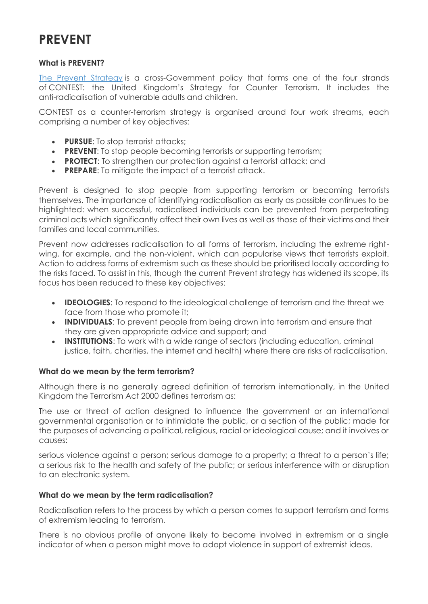# **PREVENT**

#### **What is PREVENT?**

[The Prevent Strategy](https://www.gov.uk/government/publications/prevent-duty-guidance) is a cross-Government policy that forms one of the four strands of CONTEST: the United Kingdom's Strategy for Counter Terrorism. It includes the anti-radicalisation of vulnerable adults and children.

CONTEST as a counter-terrorism strategy is organised around four work streams, each comprising a number of key objectives:

- **PURSUE**: To stop terrorist attacks;
- **PREVENT:** To stop people becoming terrorists or supporting terrorism;
- **PROTECT**: To strengthen our protection against a terrorist attack; and
- **PREPARE**: To mitigate the impact of a terrorist attack.

Prevent is designed to stop people from supporting terrorism or becoming terrorists themselves. The importance of identifying radicalisation as early as possible continues to be highlighted: when successful, radicalised individuals can be prevented from perpetrating criminal acts which significantly affect their own lives as well as those of their victims and their families and local communities.

Prevent now addresses radicalisation to all forms of terrorism, including the extreme rightwing, for example, and the non-violent, which can popularise views that terrorists exploit. Action to address forms of extremism such as these should be prioritised locally according to the risks faced. To assist in this, though the current Prevent strategy has widened its scope, its focus has been reduced to these key objectives:

- **IDEOLOGIES**: To respond to the ideological challenge of terrorism and the threat we face from those who promote it;
- **INDIVIDUALS**: To prevent people from being drawn into terrorism and ensure that they are given appropriate advice and support; and
- **INSTITUTIONS:** To work with a wide range of sectors (including education, criminal justice, faith, charities, the internet and health) where there are risks of radicalisation.

# **What do we mean by the term terrorism?**

Although there is no generally agreed definition of terrorism internationally, in the United Kingdom the Terrorism Act 2000 defines terrorism as:

The use or threat of action designed to influence the government or an international governmental organisation or to intimidate the public, or a section of the public; made for the purposes of advancing a political, religious, racial or ideological cause; and it involves or causes:

serious violence against a person; serious damage to a property; a threat to a person's life; a serious risk to the health and safety of the public; or serious interference with or disruption to an electronic system.

# **What do we mean by the term radicalisation?**

Radicalisation refers to the process by which a person comes to support terrorism and forms of extremism leading to terrorism.

There is no obvious profile of anyone likely to become involved in extremism or a single indicator of when a person might move to adopt violence in support of extremist ideas.